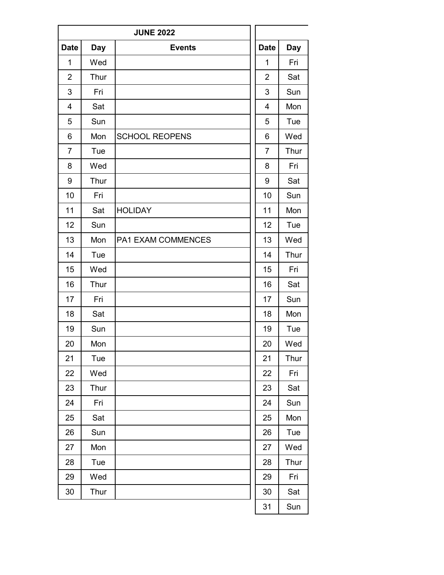|                |            | <b>JUNE 2022</b>      |                |            |
|----------------|------------|-----------------------|----------------|------------|
| <b>Date</b>    | <b>Day</b> | <b>Events</b>         | <b>Date</b>    | <b>Day</b> |
| 1              | Wed        |                       | 1              | Fri        |
| $\overline{2}$ | Thur       |                       | 2              | Sat        |
| 3              | Fri        |                       | 3              | Sun        |
| $\overline{4}$ | Sat        |                       | $\overline{4}$ | Mon        |
| 5              | Sun        |                       | 5              | Tue        |
| 6              | Mon        | <b>SCHOOL REOPENS</b> | 6              | Wed        |
| $\overline{7}$ | Tue        |                       | $\overline{7}$ | Thur       |
| 8              | Wed        |                       | 8              | Fri        |
| 9              | Thur       |                       | 9              | Sat        |
| 10             | Fri        |                       | 10             | Sun        |
| 11             | Sat        | <b>HOLIDAY</b>        | 11             | Mon        |
| 12             | Sun        |                       | 12             | Tue        |
| 13             | Mon        | PA1 EXAM COMMENCES    | 13             | Wed        |
| 14             | Tue        |                       | 14             | Thur       |
| 15             | Wed        |                       | 15             | Fri        |
| 16             | Thur       |                       | 16             | Sat        |
| 17             | Fri        |                       | 17             | Sun        |
| 18             | Sat        |                       | 18             | Mon        |
| 19             | Sun        |                       | 19             | Tue        |
| 20             | Mon        |                       | 20             | Wed        |
| 21             | Tue        |                       | 21             | Thur       |
| 22             | Wed        |                       | 22             | Fri        |
| 23             | Thur       |                       | 23             | Sat        |
| 24             | Fri        |                       | 24             | Sun        |
| 25             | Sat        |                       | 25             | Mon        |
| 26             | Sun        |                       | 26             | Tue        |
| 27             | Mon        |                       | 27             | Wed        |
| 28             | Tue        |                       | 28             | Thur       |
| 29             | Wed        |                       | 29             | Fri        |
| 30             | Thur       |                       | 30             | Sat        |
|                |            |                       | 31             | Sun        |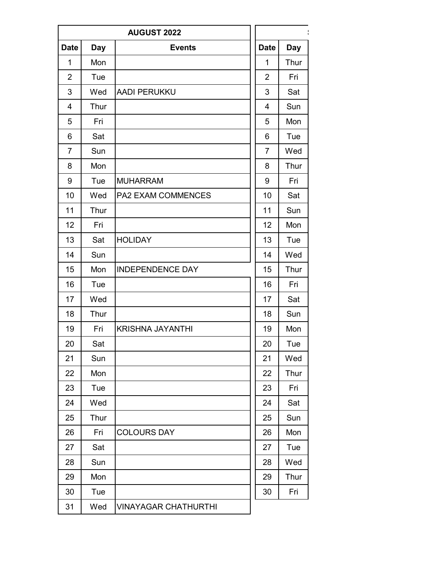| <b>AUGUST 2022</b> |            |                             |  |                |            |
|--------------------|------------|-----------------------------|--|----------------|------------|
| <b>Date</b>        | <b>Day</b> | <b>Events</b>               |  | <b>Date</b>    | <b>Day</b> |
| $\mathbf{1}$       | Mon        |                             |  | $\mathbf{1}$   | Thur       |
| 2                  | Tue        |                             |  | $\overline{2}$ | Fri        |
| 3                  | Wed        | <b>AADI PERUKKU</b>         |  | 3              | Sat        |
| 4                  | Thur       |                             |  | $\overline{4}$ | Sun        |
| 5                  | Fri        |                             |  | 5              | Mon        |
| 6                  | Sat        |                             |  | 6              | Tue        |
| $\overline{7}$     | Sun        |                             |  | $\overline{7}$ | Wed        |
| 8                  | Mon        |                             |  | 8              | Thur       |
| 9                  | Tue        | <b>MUHARRAM</b>             |  | 9              | Fri        |
| 10                 | Wed        | PA2 EXAM COMMENCES          |  | 10             | Sat        |
| 11                 | Thur       |                             |  | 11             | Sun        |
| 12                 | Fri        |                             |  | 12             | Mon        |
| 13                 | Sat        | <b>HOLIDAY</b>              |  | 13             | Tue        |
| 14                 | Sun        |                             |  | 14             | Wed        |
| 15                 | Mon        | <b>INDEPENDENCE DAY</b>     |  | 15             | Thur       |
| 16                 | Tue        |                             |  | 16             | Fri        |
| 17                 | Wed        |                             |  | 17             | Sat        |
| 18                 | Thur       |                             |  | 18             | Sun        |
| 19                 | Fri        | <b>KRISHNA JAYANTHI</b>     |  | 19             | Mon        |
| 20                 | Sat        |                             |  | 20             | Tue        |
| 21                 | Sun        |                             |  | 21             | Wed        |
| 22                 | Mon        |                             |  | 22             | Thur       |
| 23                 | Tue        |                             |  | 23             | Fri        |
| 24                 | Wed        |                             |  | 24             | Sat        |
| 25                 | Thur       |                             |  | 25             | Sun        |
| 26                 | Fri        | <b>COLOURS DAY</b>          |  | 26             | Mon        |
| 27                 | Sat        |                             |  | 27             | Tue        |
| 28                 | Sun        |                             |  | 28             | Wed        |
| 29                 | Mon        |                             |  | 29             | Thur       |
| 30                 | Tue        |                             |  | 30             | Fri        |
| 31                 | Wed        | <b>VINAYAGAR CHATHURTHI</b> |  |                |            |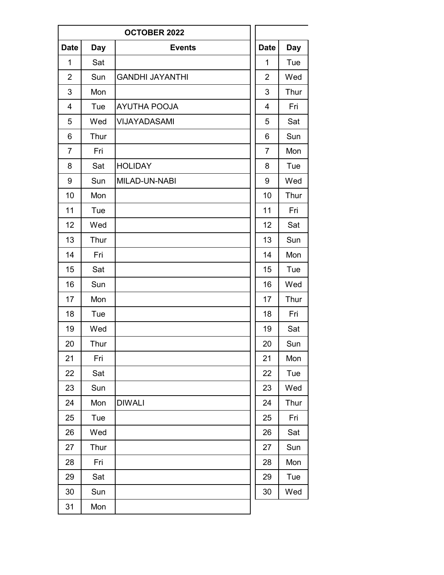|                |            | OCTOBER 2022           |                |            |
|----------------|------------|------------------------|----------------|------------|
| <b>Date</b>    | <b>Day</b> | <b>Events</b>          | <b>Date</b>    | <b>Day</b> |
| 1              | Sat        |                        | $\mathbf 1$    | Tue        |
| $\overline{2}$ | Sun        | <b>GANDHI JAYANTHI</b> | $\overline{2}$ | Wed        |
| 3              | Mon        |                        | 3              | Thur       |
| $\overline{4}$ | Tue        | <b>AYUTHA POOJA</b>    | $\overline{4}$ | Fri        |
| 5              | Wed        | <b>VIJAYADASAMI</b>    | 5              | Sat        |
| 6              | Thur       |                        | 6              | Sun        |
| $\overline{7}$ | Fri        |                        | $\overline{7}$ | Mon        |
| 8              | Sat        | <b>HOLIDAY</b>         | 8              | Tue        |
| 9              | Sun        | MILAD-UN-NABI          | 9              | Wed        |
| 10             | Mon        |                        | 10             | Thur       |
| 11             | Tue        |                        | 11             | Fri        |
| 12             | Wed        |                        | 12             | Sat        |
| 13             | Thur       |                        | 13             | Sun        |
| 14             | Fri        |                        | 14             | Mon        |
| 15             | Sat        |                        | 15             | Tue        |
| 16             | Sun        |                        | 16             | Wed        |
| 17             | Mon        |                        | 17             | Thur       |
| 18             | Tue        |                        | 18             | Fri        |
| 19             | Wed        |                        | 19             | Sat        |
| 20             | Thur       |                        | 20             | Sun        |
| 21             | Fri        |                        | 21             | Mon        |
| 22             | Sat        |                        | 22             | Tue        |
| 23             | Sun        |                        | 23             | Wed        |
| 24             | Mon        | <b>DIWALI</b>          | 24             | Thur       |
| 25             | Tue        |                        | 25             | Fri        |
| 26             | Wed        |                        | 26             | Sat        |
| 27             | Thur       |                        | 27             | Sun        |
| 28             | Fri        |                        | 28             | Mon        |
| 29             | Sat        |                        | 29             | Tue        |
| 30             | Sun        |                        | 30             | Wed        |
| 31             | Mon        |                        |                |            |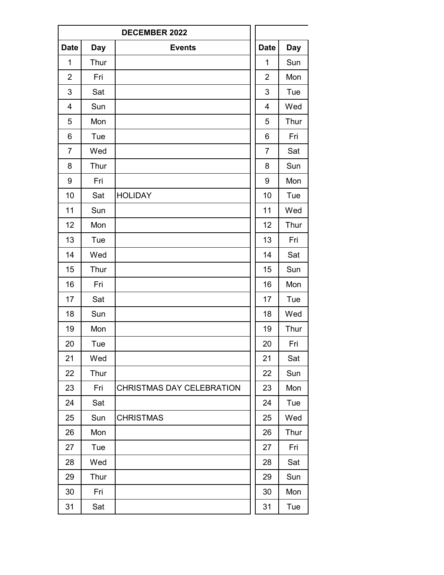|                |            | <b>DECEMBER 2022</b>             |                |            |
|----------------|------------|----------------------------------|----------------|------------|
| <b>Date</b>    | <b>Day</b> | <b>Events</b>                    | <b>Date</b>    | <b>Day</b> |
| 1              | Thur       |                                  | 1              | Sun        |
| $\overline{2}$ | Fri        |                                  | $\overline{2}$ | Mon        |
| 3              | Sat        |                                  | 3              | Tue        |
| $\overline{4}$ | Sun        |                                  | 4              | Wed        |
| 5              | Mon        |                                  | 5              | Thur       |
| 6              | Tue        |                                  | 6              | Fri        |
| $\overline{7}$ | Wed        |                                  | $\overline{7}$ | Sat        |
| 8              | Thur       |                                  | 8              | Sun        |
| 9              | Fri        |                                  | 9              | Mon        |
| 10             | Sat        | <b>HOLIDAY</b>                   | 10             | Tue        |
| 11             | Sun        |                                  | 11             | Wed        |
| 12             | Mon        |                                  | 12             | Thur       |
| 13             | Tue        |                                  | 13             | Fri        |
| 14             | Wed        |                                  | 14             | Sat        |
| 15             | Thur       |                                  | 15             | Sun        |
| 16             | Fri        |                                  | 16             | Mon        |
| 17             | Sat        |                                  | 17             | Tue        |
| 18             | Sun        |                                  | 18             | Wed        |
| 19             | Mon        |                                  | 19             | Thur       |
| 20             | Tue        |                                  | 20             | Fri        |
| 21             | Wed        |                                  | 21             | Sat        |
| 22             | Thur       |                                  | 22             | Sun        |
| 23             | Fri        | <b>CHRISTMAS DAY CELEBRATION</b> | 23             | Mon        |
| 24             | Sat        |                                  | 24             | Tue        |
| 25             | Sun        | <b>CHRISTMAS</b>                 | 25             | Wed        |
| 26             | Mon        |                                  | 26             | Thur       |
| 27             | Tue        |                                  | 27             | Fri        |
| 28             | Wed        |                                  | 28             | Sat        |
| 29             | Thur       |                                  | 29             | Sun        |
| 30             | Fri        |                                  | 30             | Mon        |
| 31             | Sat        |                                  | 31             | Tue        |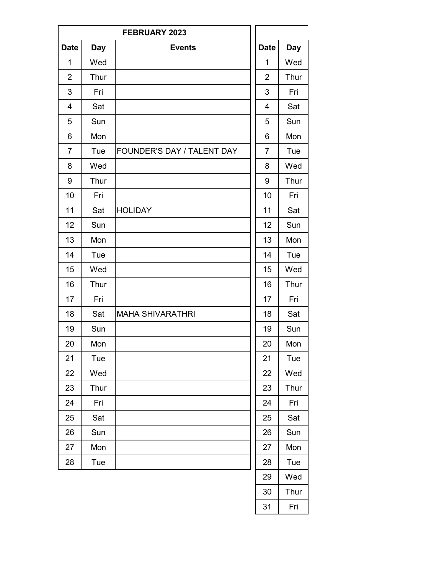|                |      | FEBRUARY 2023              |                |            |
|----------------|------|----------------------------|----------------|------------|
| <b>Date</b>    | Day  | <b>Events</b>              | <b>Date</b>    | <b>Day</b> |
| 1              | Wed  |                            | 1              | Wed        |
| $\overline{2}$ | Thur |                            | $\overline{2}$ | Thur       |
| 3              | Fri  |                            | 3              | Fri        |
| 4              | Sat  |                            | 4              | Sat        |
| 5              | Sun  |                            | 5              | Sun        |
| 6              | Mon  |                            | 6              | Mon        |
| $\overline{7}$ | Tue  | FOUNDER'S DAY / TALENT DAY | $\overline{7}$ | Tue        |
| 8              | Wed  |                            | 8              | Wed        |
| 9              | Thur |                            | 9              | Thur       |
| 10             | Fri  |                            | 10             | Fri        |
| 11             | Sat  | <b>HOLIDAY</b>             | 11             | Sat        |
| 12             | Sun  |                            | 12             | Sun        |
| 13             | Mon  |                            | 13             | Mon        |
| 14             | Tue  |                            | 14             | Tue        |
| 15             | Wed  |                            | 15             | Wed        |
| 16             | Thur |                            | 16             | Thur       |
| 17             | Fri  |                            | 17             | Fri        |
| 18             | Sat  | <b>MAHA SHIVARATHRI</b>    | 18             | Sat        |
| 19             | Sun  |                            | 19             | Sun        |
| 20             | Mon  |                            | 20             | Mon        |
| 21             | Tue  |                            | 21             | Tue        |
| 22             | Wed  |                            | 22             | Wed        |
| 23             | Thur |                            | 23             | Thur       |
| 24             | Fri  |                            | 24             | Fri        |
| 25             | Sat  |                            | 25             | Sat        |
| 26             | Sun  |                            | 26             | Sun        |
| 27             | Mon  |                            | 27             | Mon        |
| 28             | Tue  |                            | 28             | Tue        |
|                |      |                            | 29             | Wed        |
|                |      |                            | 30             | Thur       |
|                |      |                            | 31             | Fri        |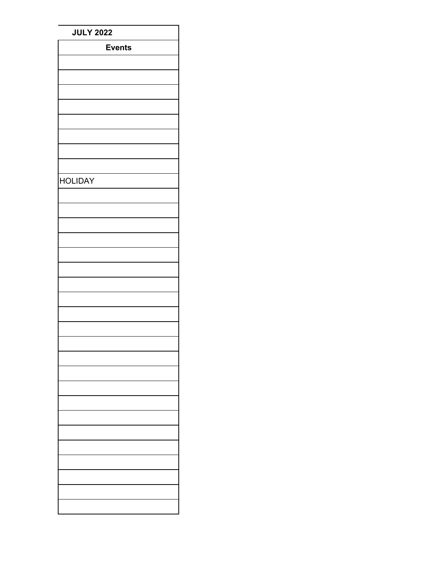| <b>JULY 2022</b> |  |  |  |  |
|------------------|--|--|--|--|
| <b>Events</b>    |  |  |  |  |
|                  |  |  |  |  |
|                  |  |  |  |  |
|                  |  |  |  |  |
|                  |  |  |  |  |
|                  |  |  |  |  |
|                  |  |  |  |  |
|                  |  |  |  |  |
|                  |  |  |  |  |
|                  |  |  |  |  |
| <b>HOLIDAY</b>   |  |  |  |  |
|                  |  |  |  |  |
|                  |  |  |  |  |
|                  |  |  |  |  |
|                  |  |  |  |  |
|                  |  |  |  |  |
|                  |  |  |  |  |
|                  |  |  |  |  |
|                  |  |  |  |  |
|                  |  |  |  |  |
|                  |  |  |  |  |
|                  |  |  |  |  |
|                  |  |  |  |  |
|                  |  |  |  |  |
|                  |  |  |  |  |
|                  |  |  |  |  |
|                  |  |  |  |  |
|                  |  |  |  |  |
|                  |  |  |  |  |
|                  |  |  |  |  |
|                  |  |  |  |  |
|                  |  |  |  |  |
|                  |  |  |  |  |
|                  |  |  |  |  |
|                  |  |  |  |  |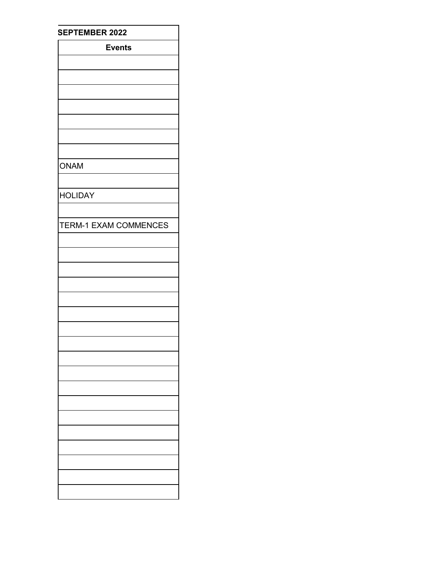| <b>SEPTEMBER 2022</b> |  |  |  |  |
|-----------------------|--|--|--|--|
| <b>Events</b>         |  |  |  |  |
|                       |  |  |  |  |
|                       |  |  |  |  |
|                       |  |  |  |  |
|                       |  |  |  |  |
|                       |  |  |  |  |
|                       |  |  |  |  |
|                       |  |  |  |  |
| <b>ONAM</b>           |  |  |  |  |
|                       |  |  |  |  |
| <b>HOLIDAY</b>        |  |  |  |  |
|                       |  |  |  |  |
| TERM-1 EXAM COMMENCES |  |  |  |  |
|                       |  |  |  |  |
|                       |  |  |  |  |
|                       |  |  |  |  |
|                       |  |  |  |  |
|                       |  |  |  |  |
|                       |  |  |  |  |
|                       |  |  |  |  |
|                       |  |  |  |  |
|                       |  |  |  |  |
|                       |  |  |  |  |
|                       |  |  |  |  |
|                       |  |  |  |  |
|                       |  |  |  |  |
|                       |  |  |  |  |
|                       |  |  |  |  |
|                       |  |  |  |  |
|                       |  |  |  |  |
|                       |  |  |  |  |
|                       |  |  |  |  |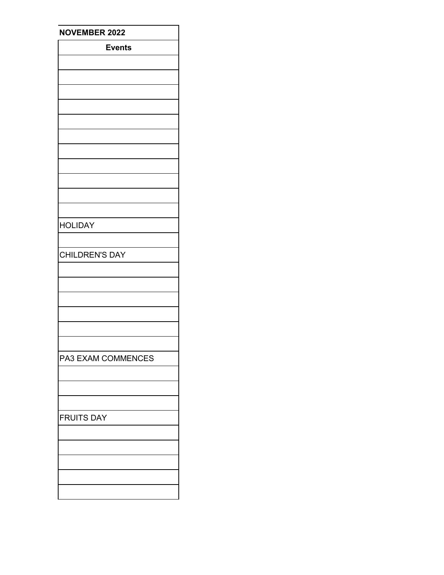| <b>NOVEMBER 2022</b>  |  |  |  |
|-----------------------|--|--|--|
| <b>Events</b>         |  |  |  |
|                       |  |  |  |
|                       |  |  |  |
|                       |  |  |  |
|                       |  |  |  |
|                       |  |  |  |
|                       |  |  |  |
|                       |  |  |  |
|                       |  |  |  |
|                       |  |  |  |
|                       |  |  |  |
|                       |  |  |  |
|                       |  |  |  |
|                       |  |  |  |
| <b>HOLIDAY</b>        |  |  |  |
|                       |  |  |  |
| <b>CHILDREN'S DAY</b> |  |  |  |
|                       |  |  |  |
|                       |  |  |  |
|                       |  |  |  |
|                       |  |  |  |
|                       |  |  |  |
|                       |  |  |  |
|                       |  |  |  |
| PA3 EXAM COMMENCES    |  |  |  |
|                       |  |  |  |
|                       |  |  |  |
|                       |  |  |  |
|                       |  |  |  |
| <b>FRUITS DAY</b>     |  |  |  |
|                       |  |  |  |
|                       |  |  |  |
|                       |  |  |  |
|                       |  |  |  |
|                       |  |  |  |
|                       |  |  |  |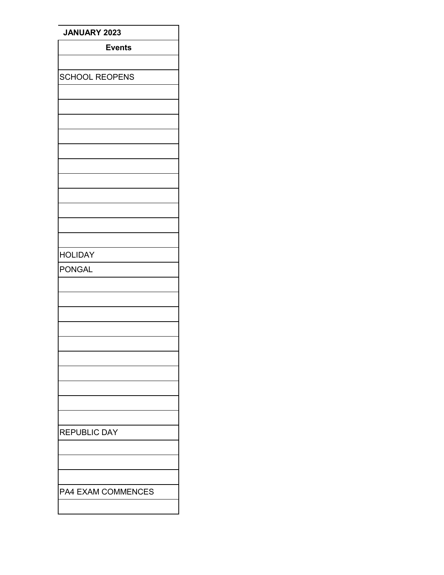| JANUARY 2023          |
|-----------------------|
| <b>Events</b>         |
|                       |
| <b>SCHOOL REOPENS</b> |
|                       |
|                       |
|                       |
|                       |
|                       |
|                       |
|                       |
|                       |
|                       |
|                       |
|                       |
| <b>HOLIDAY</b>        |
| <b>PONGAL</b>         |
|                       |
|                       |
|                       |
|                       |
|                       |
|                       |
|                       |
|                       |
|                       |
|                       |
| <b>REPUBLIC DAY</b>   |
|                       |
|                       |
|                       |
| PA4 EXAM COMMENCES    |
|                       |